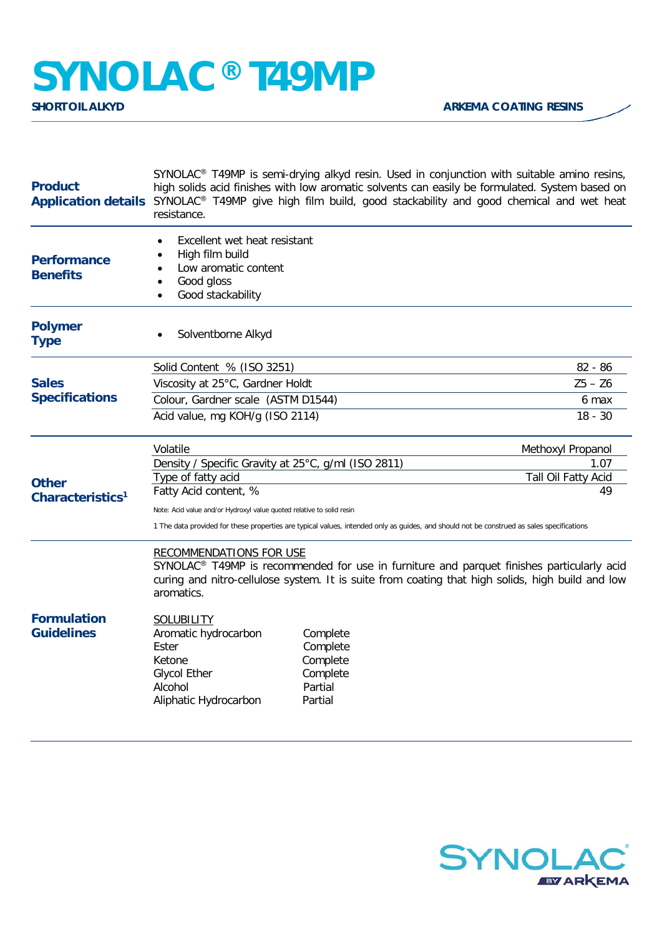## **SYNOLAC® T49MP**

| <b>Product</b>                                                        | SYNOLAC <sup>®</sup> T49MP is semi-drying alkyd resin. Used in conjunction with suitable amino resins,<br>high solids acid finishes with low aromatic solvents can easily be formulated. System based on<br>Application details SYNOLAC <sup>®</sup> T49MP give high film build, good stackability and good chemical and wet heat<br>resistance. |          |                     |  |
|-----------------------------------------------------------------------|--------------------------------------------------------------------------------------------------------------------------------------------------------------------------------------------------------------------------------------------------------------------------------------------------------------------------------------------------|----------|---------------------|--|
| <b>Performance</b><br><b>Benefits</b>                                 | Excellent wet heat resistant<br>High film build<br>$\bullet$<br>Low aromatic content<br>$\bullet$<br>Good gloss<br>Good stackability                                                                                                                                                                                                             |          |                     |  |
| <b>Polymer</b><br><b>Type</b>                                         | Solventborne Alkyd                                                                                                                                                                                                                                                                                                                               |          |                     |  |
|                                                                       | Solid Content % (ISO 3251)                                                                                                                                                                                                                                                                                                                       |          | $82 - 86$           |  |
| <b>Sales</b>                                                          | Viscosity at 25°C, Gardner Holdt                                                                                                                                                                                                                                                                                                                 |          | $Z5 - Z6$           |  |
| <b>Specifications</b><br><b>Other</b><br>Characteristics <sup>1</sup> | Colour, Gardner scale (ASTM D1544)                                                                                                                                                                                                                                                                                                               |          | 6 max               |  |
|                                                                       | Acid value, mg KOH/g (ISO 2114)                                                                                                                                                                                                                                                                                                                  |          | $18 - 30$           |  |
|                                                                       | Volatile                                                                                                                                                                                                                                                                                                                                         |          | Methoxyl Propanol   |  |
|                                                                       | Density / Specific Gravity at 25°C, g/ml (ISO 2811)                                                                                                                                                                                                                                                                                              |          | 1.07                |  |
|                                                                       | Type of fatty acid                                                                                                                                                                                                                                                                                                                               |          | Tall Oil Fatty Acid |  |
|                                                                       | Fatty Acid content, %                                                                                                                                                                                                                                                                                                                            |          | 49                  |  |
|                                                                       | Note: Acid value and/or Hydroxyl value quoted relative to solid resin                                                                                                                                                                                                                                                                            |          |                     |  |
|                                                                       | 1 The data provided for these properties are typical values, intended only as guides, and should not be construed as sales specifications                                                                                                                                                                                                        |          |                     |  |
|                                                                       | <b>RECOMMENDATIONS FOR USE</b><br>SYNOLAC <sup>®</sup> T49MP is recommended for use in furniture and parquet finishes particularly acid<br>curing and nitro-cellulose system. It is suite from coating that high solids, high build and low<br>aromatics.                                                                                        |          |                     |  |
| <b>Formulation</b><br><b>Guidelines</b>                               | <b>SOLUBILITY</b><br>Aromatic hydrocarbon                                                                                                                                                                                                                                                                                                        | Complete |                     |  |
|                                                                       | Ester                                                                                                                                                                                                                                                                                                                                            | Complete |                     |  |
|                                                                       | Ketone                                                                                                                                                                                                                                                                                                                                           | Complete |                     |  |
|                                                                       | <b>Glycol Ether</b>                                                                                                                                                                                                                                                                                                                              | Complete |                     |  |
|                                                                       | Alcohol                                                                                                                                                                                                                                                                                                                                          | Partial  |                     |  |
|                                                                       | Aliphatic Hydrocarbon                                                                                                                                                                                                                                                                                                                            | Partial  |                     |  |
|                                                                       |                                                                                                                                                                                                                                                                                                                                                  |          |                     |  |